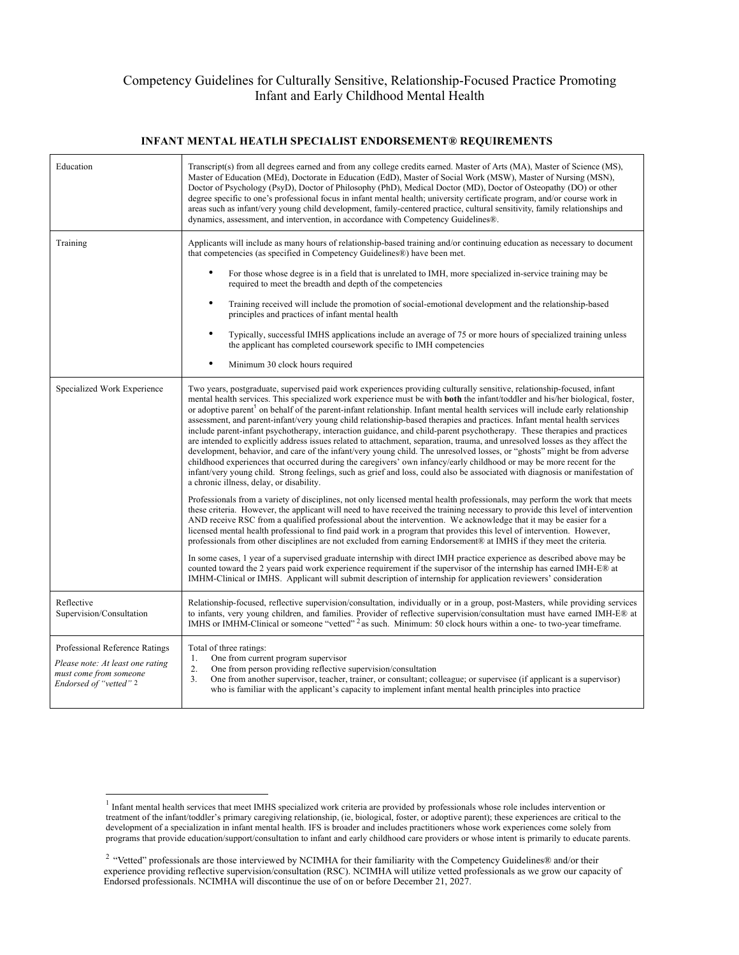## Competency Guidelines for Culturally Sensitive, Relationship-Focused Practice Promoting Infant and Early Childhood Mental Health

#### **INFANT MENTAL HEATLH SPECIALIST ENDORSEMENT® REQUIREMENTS**

| Education                                                                                                              | Transcript(s) from all degrees earned and from any college credits earned. Master of Arts (MA), Master of Science (MS),<br>Master of Education (MEd), Doctorate in Education (EdD), Master of Social Work (MSW), Master of Nursing (MSN),<br>Doctor of Psychology (PsyD), Doctor of Philosophy (PhD), Medical Doctor (MD), Doctor of Osteopathy (DO) or other<br>degree specific to one's professional focus in infant mental health; university certificate program, and/or course work in<br>areas such as infant/very young child development, family-centered practice, cultural sensitivity, family relationships and<br>dynamics, assessment, and intervention, in accordance with Competency Guidelines®.                                                                                                                                                                                                                                                                                                                                                                                                                                                                                                                                                                                                                                                                                                                                                                                                                                                                                                                                                                                                                                                                                                                                                                                                                                                                                                                                                                                                                                                                                                                                 |
|------------------------------------------------------------------------------------------------------------------------|--------------------------------------------------------------------------------------------------------------------------------------------------------------------------------------------------------------------------------------------------------------------------------------------------------------------------------------------------------------------------------------------------------------------------------------------------------------------------------------------------------------------------------------------------------------------------------------------------------------------------------------------------------------------------------------------------------------------------------------------------------------------------------------------------------------------------------------------------------------------------------------------------------------------------------------------------------------------------------------------------------------------------------------------------------------------------------------------------------------------------------------------------------------------------------------------------------------------------------------------------------------------------------------------------------------------------------------------------------------------------------------------------------------------------------------------------------------------------------------------------------------------------------------------------------------------------------------------------------------------------------------------------------------------------------------------------------------------------------------------------------------------------------------------------------------------------------------------------------------------------------------------------------------------------------------------------------------------------------------------------------------------------------------------------------------------------------------------------------------------------------------------------------------------------------------------------------------------------------------------------|
| Training                                                                                                               | Applicants will include as many hours of relationship-based training and/or continuing education as necessary to document<br>that competencies (as specified in Competency Guidelines®) have been met.                                                                                                                                                                                                                                                                                                                                                                                                                                                                                                                                                                                                                                                                                                                                                                                                                                                                                                                                                                                                                                                                                                                                                                                                                                                                                                                                                                                                                                                                                                                                                                                                                                                                                                                                                                                                                                                                                                                                                                                                                                           |
|                                                                                                                        | For those whose degree is in a field that is unrelated to IMH, more specialized in-service training may be<br>required to meet the breadth and depth of the competencies                                                                                                                                                                                                                                                                                                                                                                                                                                                                                                                                                                                                                                                                                                                                                                                                                                                                                                                                                                                                                                                                                                                                                                                                                                                                                                                                                                                                                                                                                                                                                                                                                                                                                                                                                                                                                                                                                                                                                                                                                                                                         |
|                                                                                                                        | $\bullet$<br>Training received will include the promotion of social-emotional development and the relationship-based<br>principles and practices of infant mental health                                                                                                                                                                                                                                                                                                                                                                                                                                                                                                                                                                                                                                                                                                                                                                                                                                                                                                                                                                                                                                                                                                                                                                                                                                                                                                                                                                                                                                                                                                                                                                                                                                                                                                                                                                                                                                                                                                                                                                                                                                                                         |
|                                                                                                                        | Typically, successful IMHS applications include an average of 75 or more hours of specialized training unless<br>the applicant has completed coursework specific to IMH competencies                                                                                                                                                                                                                                                                                                                                                                                                                                                                                                                                                                                                                                                                                                                                                                                                                                                                                                                                                                                                                                                                                                                                                                                                                                                                                                                                                                                                                                                                                                                                                                                                                                                                                                                                                                                                                                                                                                                                                                                                                                                             |
|                                                                                                                        | $\bullet$<br>Minimum 30 clock hours required                                                                                                                                                                                                                                                                                                                                                                                                                                                                                                                                                                                                                                                                                                                                                                                                                                                                                                                                                                                                                                                                                                                                                                                                                                                                                                                                                                                                                                                                                                                                                                                                                                                                                                                                                                                                                                                                                                                                                                                                                                                                                                                                                                                                     |
| Specialized Work Experience                                                                                            | Two years, postgraduate, supervised paid work experiences providing culturally sensitive, relationship-focused, infant<br>mental health services. This specialized work experience must be with <b>both</b> the infant/toddler and his/her biological, foster,<br>or adoptive parent <sup>1</sup> on behalf of the parent-infant relationship. Infant mental health services will include early relationship<br>assessment, and parent-infant/very young child relationship-based therapies and practices. Infant mental health services<br>include parent-infant psychotherapy, interaction guidance, and child-parent psychotherapy. These therapies and practices<br>are intended to explicitly address issues related to attachment, separation, trauma, and unresolved losses as they affect the<br>development, behavior, and care of the infant/very young child. The unresolved losses, or "ghosts" might be from adverse<br>childhood experiences that occurred during the caregivers' own infancy/early childhood or may be more recent for the<br>infant/very young child. Strong feelings, such as grief and loss, could also be associated with diagnosis or manifestation of<br>a chronic illness, delay, or disability.<br>Professionals from a variety of disciplines, not only licensed mental health professionals, may perform the work that meets<br>these criteria. However, the applicant will need to have received the training necessary to provide this level of intervention<br>AND receive RSC from a qualified professional about the intervention. We acknowledge that it may be easier for a<br>licensed mental health professional to find paid work in a program that provides this level of intervention. However,<br>professionals from other disciplines are not excluded from earning Endorsement® at IMHS if they meet the criteria.<br>In some cases, 1 year of a supervised graduate internship with direct IMH practice experience as described above may be<br>counted toward the 2 years paid work experience requirement if the supervisor of the internship has earned IMH-E® at<br>IMHM-Clinical or IMHS. Applicant will submit description of internship for application reviewers' consideration |
| Reflective<br>Supervision/Consultation                                                                                 | Relationship-focused, reflective supervision/consultation, individually or in a group, post-Masters, while providing services<br>to infants, very young children, and families. Provider of reflective supervision/consultation must have earned IMH-E® at<br>IMHS or IMHM-Clinical or someone "vetted" <sup>2</sup> as such. Minimum: 50 clock hours within a one- to two-year timeframe.                                                                                                                                                                                                                                                                                                                                                                                                                                                                                                                                                                                                                                                                                                                                                                                                                                                                                                                                                                                                                                                                                                                                                                                                                                                                                                                                                                                                                                                                                                                                                                                                                                                                                                                                                                                                                                                       |
| Professional Reference Ratings<br>Please note: At least one rating<br>must come from someone<br>Endorsed of "vetted" 2 | Total of three ratings:<br>One from current program supervisor<br>1.<br>2.<br>One from person providing reflective supervision/consultation<br>One from another supervisor, teacher, trainer, or consultant; colleague; or supervisee (if applicant is a supervisor)<br>3 <sub>1</sub><br>who is familiar with the applicant's capacity to implement infant mental health principles into practice                                                                                                                                                                                                                                                                                                                                                                                                                                                                                                                                                                                                                                                                                                                                                                                                                                                                                                                                                                                                                                                                                                                                                                                                                                                                                                                                                                                                                                                                                                                                                                                                                                                                                                                                                                                                                                               |

 $1$  Infant mental health services that meet IMHS specialized work criteria are provided by professionals whose role includes intervention or treatment of the infant/toddler's primary caregiving relationship, (ie, biological, foster, or adoptive parent); these experiences are critical to the development of a specialization in infant mental health. IFS is broader and includes practitioners whose work experiences come solely from programs that provide education/support/consultation to infant and early childhood care providers or whose intent is primarily to educate parents.

<sup>&</sup>lt;sup>2</sup> "Vetted" professionals are those interviewed by NCIMHA for their familiarity with the Competency Guidelines® and/or their experience providing reflective supervision/consultation (RSC). NCIMHA will utilize vetted professionals as we grow our capacity of Endorsed professionals. NCIMHA will discontinue the use of on or before December 21, 2027.